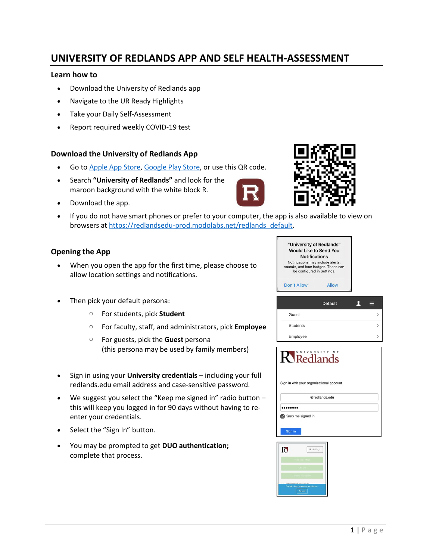# **UNIVERSITY OF REDLANDS APP AND SELF HEALTH-ASSESSMENT**

#### **Learn how to**

- Download the University of Redlands app
- Navigate to the UR Ready Highlights
- Take your Daily Self-Assessment
- Report required weekly COVID-19 test

## **Download the University of Redlands App**

- Go to Apple App [Store,](https://nam10.safelinks.protection.outlook.com/?url=https%3A%2F%2Fapps.apple.com%2Fus%2Fapp%2Funiversity-of-redlands%2Fid716778265&data=04%7C01%7Cmackenzie_dawes%40redlands.edu%7Caa69eb51786a4a26193108d8a775b602%7C496b6d7d089e431889efd9fdf760aafd%7C0%7C0%7C637443472037065156%7CUnknown%7CTWFpbGZsb3d8eyJWIjoiMC4wLjAwMDAiLCJQIjoiV2luMzIiLCJBTiI6Ik1haWwiLCJXVCI6Mn0%3D%7C1000&sdata=HJLx3HKp%2F07PMm%2FQWckhStIdhofTDX41nMYHCEEnjto%3D&reserved=0) [Google](https://nam10.safelinks.protection.outlook.com/?url=https%3A%2F%2Fplay.google.com%2Fstore%2Fapps%2Fdetails%3Fid%3Dedu.redlands.ego.m%26hl%3Den_US%26gl%3DUS&data=04%7C01%7Cmackenzie_dawes%40redlands.edu%7Caa69eb51786a4a26193108d8a775b602%7C496b6d7d089e431889efd9fdf760aafd%7C0%7C0%7C637443472037075151%7CUnknown%7CTWFpbGZsb3d8eyJWIjoiMC4wLjAwMDAiLCJQIjoiV2luMzIiLCJBTiI6Ik1haWwiLCJXVCI6Mn0%3D%7C1000&sdata=%2F0HgwPFKNnziD%2FYKKzg1IqhCpHIt1zpxOTnhhusVoag%3D&reserved=0) Play Store, or use this QR code.
- Search **"University of Redlands"** and look for the maroon background with the white block R.
- Download the app.
- If you do not have smart phones or prefer to your computer, the app is also available to view on browsers at [https://redlandsedu-prod.modolabs.net/redlands\\_default.](https://nam10.safelinks.protection.outlook.com/?url=https%3A%2F%2Fredlandsedu-prod.modolabs.net%2Fredlands_default&data=04%7C01%7Cmackenzie_dawes%40redlands.edu%7Caa69eb51786a4a26193108d8a775b602%7C496b6d7d089e431889efd9fdf760aafd%7C0%7C0%7C637443472037075151%7CUnknown%7CTWFpbGZsb3d8eyJWIjoiMC4wLjAwMDAiLCJQIjoiV2luMzIiLCJBTiI6Ik1haWwiLCJXVCI6Mn0%3D%7C1000&sdata=Su%2F9XYhcde7l8Zaw%2F%2F5cJPv%2FwfciFDAj4l9IzZnvYUc%3D&reserved=0)

#### **Opening the App**

- When you open the app for the first time, please choose to allow location settings and notifications.
- Then pick your default persona:
	- o For students, pick **Student**
	- o For faculty, staff, and administrators, pick **Employee**
	- o For guests, pick the **Guest** persona (this persona may be used by family members)
- Sign in using your **University credentials**  including your full redlands.edu email address and case-sensitive password.
- We suggest you select the "Keep me signed in" radio button  $$ this will keep you logged in for 90 days without having to reenter your credentials.
- Select the "Sign In" button.
- You may be prompted to get **DUO authentication;** complete that process.

"University of Redlands" **Would Like to Send You Notifications** Notifications may include alerts,<br>sounds, and icon badges. These can<br>be configured in Settings. Don't Allow Allow

|          | <b>Default</b> | 9 |
|----------|----------------|---|
| Guest    |                |   |
| Students |                |   |
| Employee |                |   |





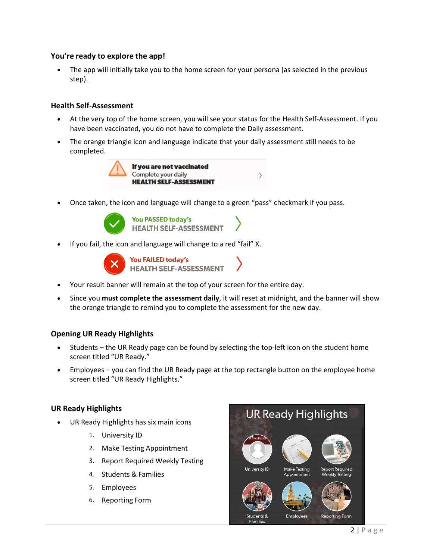## **You're ready to explore the app!**

• The app will initially take you to the home screen for your persona (as selected in the previous step).

## **Health Self-Assessment**

- At the very top of the home screen, you will see your status for the Health Self-Assessment. If you have been vaccinated, you do not have to complete the Daily assessment.
- The orange triangle icon and language indicate that your daily assessment still needs to be completed.



• Once taken, the icon and language will change to a green "pass" checkmark if you pass.



**HEALTH SELF-ASSESSMENT** 

 $\rightarrow$ 

• If you fail, the icon and language will change to a red "fail" X.



- Your result banner will remain at the top of your screen for the entire day.
- Since you **must complete the assessment daily**, it will reset at midnight, and the banner will show the orange triangle to remind you to complete the assessment for the new day.

## **Opening UR Ready Highlights**

- Students the UR Ready page can be found by selecting the top-left icon on the student home screen titled "UR Ready."
- Employees you can find the UR Ready page at the top rectangle button on the employee home screen titled "UR Ready Highlights."

## **UR Ready Highlights**

- UR Ready Highlights has six main icons
	- 1. University ID
	- 2. Make Testing Appointment
	- 3. Report Required Weekly Testing
	- 4. Students & Families
	- 5. Employees
	- 6. Reporting Form

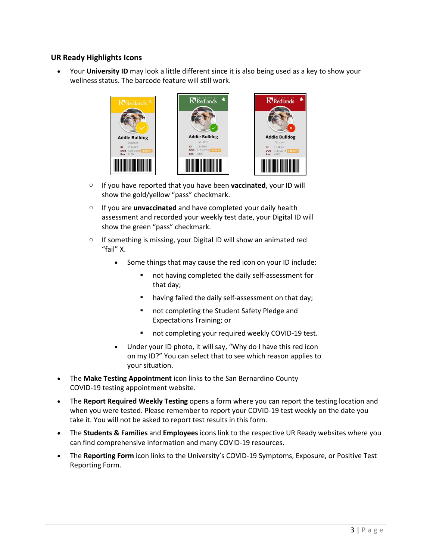## **UR Ready Highlights Icons**

• Your **University ID** may look a little different since it is also being used as a key to show your wellness status. The barcode feature will still work.



- o If you have reported that you have been **vaccinated**, your ID will show the gold/yellow "pass" checkmark.
- o If you are **unvaccinated** and have completed your daily health assessment and recorded your weekly test date, your Digital ID will show the green "pass" checkmark.
- $\circ$  If something is missing, your Digital ID will show an animated red "fail" X.
	- Some things that may cause the red icon on your ID include:
		- not having completed the daily self-assessment for that day;
		- **•** having failed the daily self-assessment on that day;
		- **not completing the Student Safety Pledge and** Expectations Training; or
		- **not completing your required weekly COVID-19 test.**
	- Under your ID photo, it will say, "Why do I have this red icon on my ID?" You can select that to see which reason applies to your situation.
- The **Make Testing Appointment** icon links to the San Bernardino County COVID-19 testing appointment website.
- The **Report Required Weekly Testing** opens a form where you can report the testing location and when you were tested. Please remember to report your COVID-19 test weekly on the date you take it. You will not be asked to report test results in this form.
- The **Students & Families** and **Employees** icons link to the respective UR Ready websites where you can find comprehensive information and many COVID-19 resources.
- The **Reporting Form** icon links to the University's COVID-19 Symptoms, Exposure, or Positive Test Reporting Form.